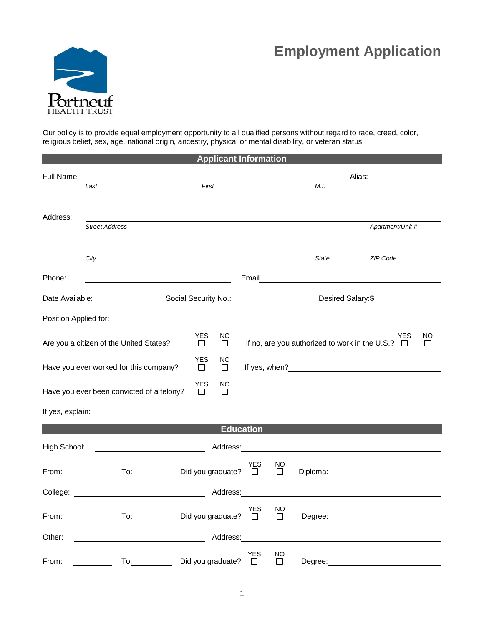## **Employment Application**



Our policy is to provide equal employment opportunity to all qualified persons without regard to race, creed, color, religious belief, sex, age, national origin, ancestry, physical or mental disability, or veteran status

| <b>Applicant Information</b>                                                                                                                                    |                                           |                               |                  |                           |                                                                                                                                                                                                                                |                                               |  |  |
|-----------------------------------------------------------------------------------------------------------------------------------------------------------------|-------------------------------------------|-------------------------------|------------------|---------------------------|--------------------------------------------------------------------------------------------------------------------------------------------------------------------------------------------------------------------------------|-----------------------------------------------|--|--|
| Full Name:                                                                                                                                                      | First<br>Last                             |                               |                  | Alias: __________________ |                                                                                                                                                                                                                                |                                               |  |  |
|                                                                                                                                                                 |                                           |                               |                  | M.I.                      |                                                                                                                                                                                                                                |                                               |  |  |
| Address:                                                                                                                                                        |                                           |                               |                  |                           |                                                                                                                                                                                                                                |                                               |  |  |
|                                                                                                                                                                 | <b>Street Address</b>                     |                               |                  |                           |                                                                                                                                                                                                                                | Apartment/Unit #                              |  |  |
|                                                                                                                                                                 |                                           |                               |                  |                           |                                                                                                                                                                                                                                |                                               |  |  |
|                                                                                                                                                                 | City                                      |                               |                  |                           | <b>State</b>                                                                                                                                                                                                                   | ZIP Code                                      |  |  |
| Phone:                                                                                                                                                          |                                           |                               |                  |                           |                                                                                                                                                                                                                                |                                               |  |  |
| Desired Salary: \$<br>Date Available:<br><u>and the community of the community</u>                                                                              |                                           |                               |                  |                           |                                                                                                                                                                                                                                |                                               |  |  |
|                                                                                                                                                                 |                                           |                               |                  |                           |                                                                                                                                                                                                                                |                                               |  |  |
| <b>YES</b><br>NO<br>YES<br>NO<br>If no, are you authorized to work in the U.S.? $\Box$<br>Are you a citizen of the United States?<br>$\Box$<br>$\Box$<br>$\Box$ |                                           |                               |                  |                           |                                                                                                                                                                                                                                |                                               |  |  |
| <b>YES</b><br>NO<br>Have you ever worked for this company?<br>□<br>□                                                                                            |                                           |                               |                  |                           |                                                                                                                                                                                                                                |                                               |  |  |
|                                                                                                                                                                 | Have you ever been convicted of a felony? | YES<br>NO<br>$\Box$<br>$\Box$ |                  |                           |                                                                                                                                                                                                                                |                                               |  |  |
|                                                                                                                                                                 |                                           |                               |                  |                           |                                                                                                                                                                                                                                |                                               |  |  |
|                                                                                                                                                                 |                                           |                               | <b>Education</b> |                           |                                                                                                                                                                                                                                |                                               |  |  |
| High School:                                                                                                                                                    |                                           |                               |                  |                           | Address: Analysis and the state of the state of the state of the state of the state of the state of the state of the state of the state of the state of the state of the state of the state of the state of the state of the s |                                               |  |  |
| From:                                                                                                                                                           | <u>and the state</u>                      | To: Did you graduate? □       | <b>YES</b>       | NO.<br>$\Box$             |                                                                                                                                                                                                                                |                                               |  |  |
|                                                                                                                                                                 |                                           |                               |                  |                           |                                                                                                                                                                                                                                |                                               |  |  |
| From:                                                                                                                                                           |                                           | To: Did you graduate? □       | <b>YES</b>       | NO<br>$\Box$              |                                                                                                                                                                                                                                |                                               |  |  |
| Other:                                                                                                                                                          |                                           |                               |                  |                           |                                                                                                                                                                                                                                | <u> 1980 - Andrea Andrew Maria (h. 1980).</u> |  |  |
| From:                                                                                                                                                           | To:                                       | Did you graduate?             | YES              | NO<br>ΙI                  | Degree:                                                                                                                                                                                                                        |                                               |  |  |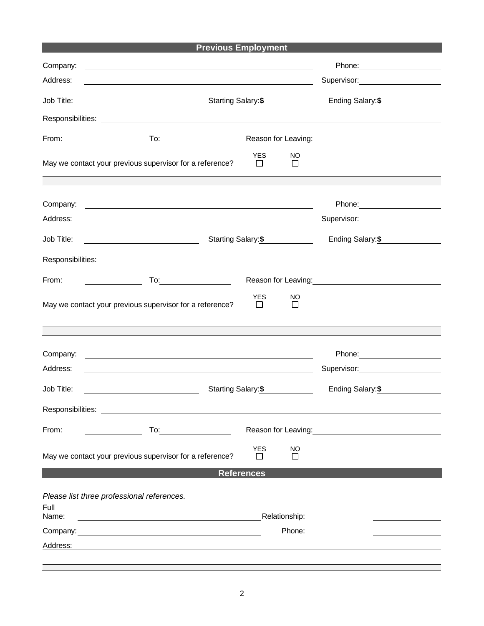|  | <b>Previous Employment</b> |
|--|----------------------------|
|--|----------------------------|

| Company:                                           |                                                                                                                                                                                                                                     |                      |              |                                                                                                                |  |  |
|----------------------------------------------------|-------------------------------------------------------------------------------------------------------------------------------------------------------------------------------------------------------------------------------------|----------------------|--------------|----------------------------------------------------------------------------------------------------------------|--|--|
| Address:                                           | <u> 1989 - Johann Barn, mars ann an t-Amhain ann an t-Amhain an t-Amhain an t-Amhain an t-Amhain an t-Amhain an t-</u>                                                                                                              |                      |              | Supervisor: ________________________                                                                           |  |  |
| Job Title:                                         | Starting Salary: \$<br><u> 1980 - Johann Barn, fransk politik (</u>                                                                                                                                                                 | Ending Salary: \$    |              |                                                                                                                |  |  |
|                                                    |                                                                                                                                                                                                                                     |                      |              |                                                                                                                |  |  |
| From:                                              |                                                                                                                                                                                                                                     |                      |              | Reason for Leaving:<br><u>Example 2008</u>                                                                     |  |  |
|                                                    | May we contact your previous supervisor for a reference?                                                                                                                                                                            | <b>YES</b><br>$\Box$ | NO<br>$\Box$ |                                                                                                                |  |  |
| Company:                                           | <u> 1980 - Jan Samuel Barbara, poeta establecea establecea establecea establecea establecea establecea establecea</u>                                                                                                               |                      |              |                                                                                                                |  |  |
| Address:                                           |                                                                                                                                                                                                                                     |                      |              | Supervisor: 2000                                                                                               |  |  |
| Job Title:                                         | Starting Salary: \$                                                                                                                                                                                                                 | Ending Salary: \$    |              |                                                                                                                |  |  |
|                                                    |                                                                                                                                                                                                                                     |                      |              |                                                                                                                |  |  |
| From:                                              | $\begin{array}{c c} \hline \end{array}$ To: $\begin{array}{c} \hline \end{array}$                                                                                                                                                   |                      |              |                                                                                                                |  |  |
|                                                    | May we contact your previous supervisor for a reference?                                                                                                                                                                            | YES<br>П             | NO<br>$\Box$ |                                                                                                                |  |  |
|                                                    |                                                                                                                                                                                                                                     |                      |              |                                                                                                                |  |  |
| Company:                                           |                                                                                                                                                                                                                                     |                      |              |                                                                                                                |  |  |
| Address:                                           | the contract of the contract of the contract of the contract of the contract of the contract of the contract of                                                                                                                     |                      |              |                                                                                                                |  |  |
| Job Title:                                         | Starting Salary: \$<br><u> 1989 - Johann Barnett, fransk politiker (</u>                                                                                                                                                            |                      |              | Ending Salary: \$                                                                                              |  |  |
| Responsibilities:                                  |                                                                                                                                                                                                                                     |                      |              |                                                                                                                |  |  |
| From:                                              | <b>To:</b> the contract of the contract of the contract of the contract of the contract of the contract of the contract of the contract of the contract of the contract of the contract of the contract of the contract of the cont |                      |              | Reason for Leaving: Note that the set of the set of the set of the set of the set of the set of the set of the |  |  |
|                                                    | May we contact your previous supervisor for a reference?                                                                                                                                                                            | <b>YES</b><br>$\Box$ | NO<br>□      |                                                                                                                |  |  |
|                                                    | <b>References</b>                                                                                                                                                                                                                   |                      |              |                                                                                                                |  |  |
| Please list three professional references.<br>Full |                                                                                                                                                                                                                                     |                      |              |                                                                                                                |  |  |
| Name:                                              |                                                                                                                                                                                                                                     |                      |              |                                                                                                                |  |  |
|                                                    | Company: <u>company:</u> company:                                                                                                                                                                                                   |                      | Phone:       |                                                                                                                |  |  |
| Address:                                           |                                                                                                                                                                                                                                     |                      |              |                                                                                                                |  |  |